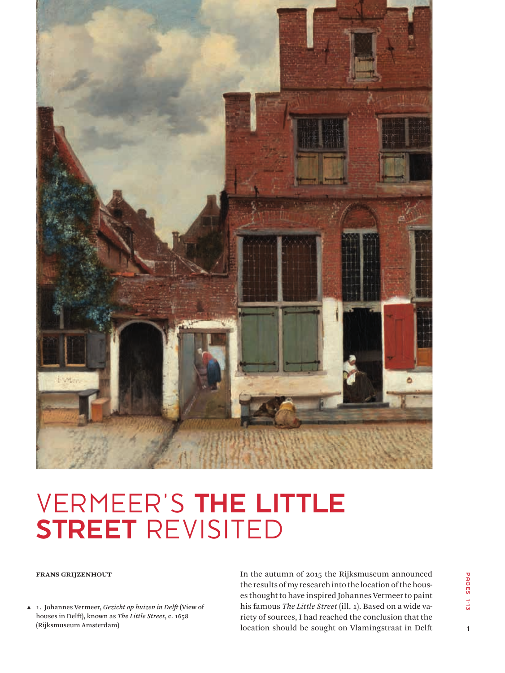

# VERMEER'S THE LITTLE STREET REVISITED

**Frans Grijzenhout**

▲ 1. Johannes Vermeer, *Gezicht op huizen in Delft* (View of houses in Delft), known as *The Little Street*, c. 1658 (Rijksmuseum Amsterdam)

In the autumn of 2015 the Rijksmuseum announced the results of my research into the location of the houses thought to have inspired Johannes Vermeer to paint his famous *The Little Street* (ill. 1). Based on a wide variety of sources, I had reached the conclusion that the location should be sought on Vlamingstraat in Delft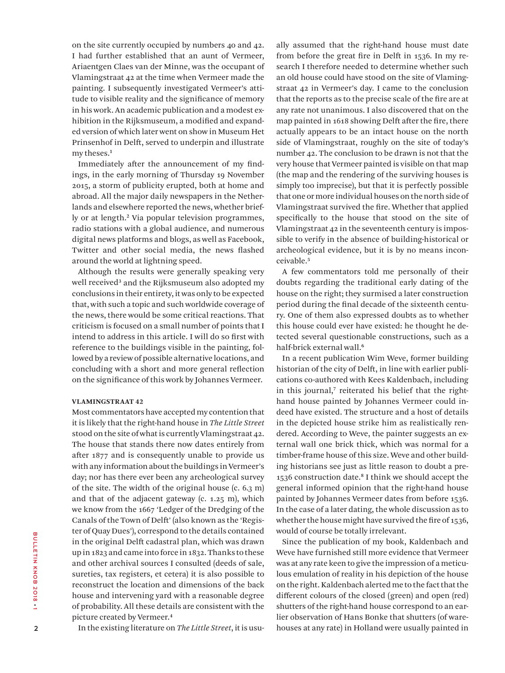on the site currently occupied by numbers 40 and 42. I had further established that an aunt of Vermeer, Ariaentgen Claes van der Minne, was the occupant of Vlamingstraat 42 at the time when Vermeer made the painting. I subsequently investigated Vermeer's attitude to visible reality and the significance of memory in his work. An academic publication and a modest exhibition in the Rijksmuseum, a modified and expanded version of which later went on show in Museum Het Prinsenhof in Delft, served to underpin and illustrate my theses.**<sup>1</sup>**

Immediately after the announcement of my findings, in the early morning of Thursday 19 November 2015, a storm of publicity erupted, both at home and abroad. All the major daily newspapers in the Netherlands and elsewhere reported the news, whether briefly or at length.**<sup>2</sup>** Via popular television programmes, radio stations with a global audience, and numerous digital news platforms and blogs, as well as Facebook, Twitter and other social media, the news flashed around the world at lightning speed.

Although the results were generally speaking very well received**<sup>3</sup>** and the Rijksmuseum also adopted my conclusions in their entirety, it was only to be expected that, with such a topic and such worldwide coverage of the news, there would be some critical reactions. That criticism is focused on a small number of points that I intend to address in this article. I will do so first with reference to the buildings visible in the painting, followed by a review of possible alternative locations, and concluding with a short and more general reflection on the significance of this work by Johannes Vermeer.

#### **VLAMINGSTRAAT 42**

Most commentators have accepted my contention that it is likely that the right-hand house in *The Little Street* stood on the site of what is currently Vlamingstraat 42. The house that stands there now dates entirely from after 1877 and is consequently unable to provide us with any information about the buildings in Vermeer's day; nor has there ever been any archeological survey of the site. The width of the original house (c. 6.3 m) and that of the adjacent gateway (c. 1.25 m), which we know from the 1667 'Ledger of the Dredging of the Canals of the Town of Delft' (also known as the 'Register of Quay Dues'), correspond to the details contained in the original Delft cadastral plan, which was drawn up in 1823 and came into force in 1832. Thanks to these and other archival sources I consulted (deeds of sale, sureties, tax registers, et cetera) it is also possible to reconstruct the location and dimensions of the back house and intervening yard with a reasonable degree of probability. All these details are consistent with the picture created by Vermeer.**<sup>4</sup>**

In the existing literature on *The Little Street*, it is usu-

ally assumed that the right-hand house must date from before the great fire in Delft in 1536. In my research I therefore needed to determine whether such an old house could have stood on the site of Vlamingstraat 42 in Vermeer's day. I came to the conclusion that the reports as to the precise scale of the fire are at any rate not unanimous. I also discovered that on the map painted in 1618 showing Delft after the fire, there actually appears to be an intact house on the north side of Vlamingstraat, roughly on the site of today's number 42. The conclusion to be drawn is not that the very house that Vermeer painted is visible on that map (the map and the rendering of the surviving houses is simply too imprecise), but that it is perfectly possible that one or more individual houses on the north side of Vlamingstraat survived the fire. Whether that applied specifically to the house that stood on the site of Vlamingstraat 42 in the seventeenth century is impossible to verify in the absence of building-historical or archeological evidence, but it is by no means inconceivable.**<sup>5</sup>**

A few commentators told me personally of their doubts regarding the traditional early dating of the house on the right; they surmised a later construction period during the final decade of the sixteenth century. One of them also expressed doubts as to whether this house could ever have existed: he thought he detected several questionable constructions, such as a half-brick external wall.**<sup>6</sup>**

In a recent publication Wim Weve, former building historian of the city of Delft, in line with earlier publications co-authored with Kees Kaldenbach, including in this journal,**7** reiterated his belief that the righthand house painted by Johannes Vermeer could indeed have existed. The structure and a host of details in the depicted house strike him as realistically rendered. According to Weve, the painter suggests an external wall one brick thick, which was normal for a timber-frame house of this size. Weve and other building historians see just as little reason to doubt a pre-1536 construction date.**<sup>8</sup>** I think we should accept the general informed opinion that the right-hand house painted by Johannes Vermeer dates from before 1536. In the case of a later dating, the whole discussion as to whether the house might have survived the fire of 1536, would of course be totally irrelevant.

Since the publication of my book, Kaldenbach and Weve have furnished still more evidence that Vermeer was at any rate keen to give the impression of a meticulous emulation of reality in his depiction of the house on the right. Kaldenbach alerted me to the fact that the different colours of the closed (green) and open (red) shutters of the right-hand house correspond to an earlier observation of Hans Bonke that shutters (of warehouses at any rate) in Holland were usually painted in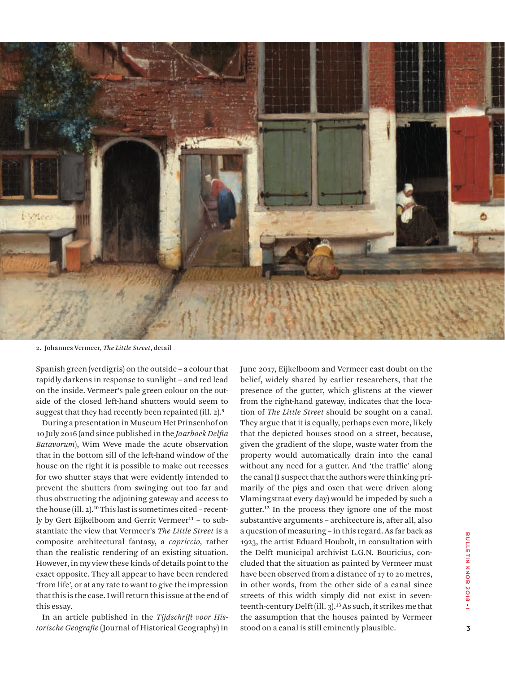

2. Johannes Vermeer, *The Little Street*, detail

Spanish green (verdigris) on the outside – a colour that rapidly darkens in response to sunlight – and red lead on the inside. Vermeer's pale green colour on the outside of the closed left-hand shutters would seem to suggest that they had recently been repainted (ill. 2).**<sup>9</sup>**

During a presentation in Museum Het Prinsenhof on 10 July 2016 (and since published in the *Jaarboek Delfia Batavorum*), Wim Weve made the acute observation that in the bottom sill of the left-hand window of the house on the right it is possible to make out recesses for two shutter stays that were evidently intended to prevent the shutters from swinging out too far and thus obstructing the adjoining gateway and access to the house (ill. 2).**10** This last is sometimes cited – recently by Gert Eijkelboom and Gerrit Vermeer**11** – to substantiate the view that Vermeer's *The Little Street* is a composite architectural fantasy, a *capriccio*, rather than the realistic rendering of an existing situation. However, in my view these kinds of details point to the exact opposite. They all appear to have been rendered 'from life', or at any rate to want to give the impression that this is the case. I will return this issue at the end of this essay.

In an article published in the *Tijdschrift voor Historische Geografie* (Journal of Historical Geography) in June 2017, Eijkelboom and Vermeer cast doubt on the belief, widely shared by earlier researchers, that the presence of the gutter, which glistens at the viewer from the right-hand gateway, indicates that the location of *The Little Street* should be sought on a canal. They argue that it is equally, perhaps even more, likely that the depicted houses stood on a street, because, given the gradient of the slope, waste water from the property would automatically drain into the canal without any need for a gutter. And 'the traffic' along the canal (I suspect that the authors were thinking primarily of the pigs and oxen that were driven along Vlamingstraat every day) would be impeded by such a gutter.**<sup>12</sup>** In the process they ignore one of the most substantive arguments – architecture is, after all, also a question of measuring – in this regard. As far back as 1923, the artist Eduard Houbolt, in consultation with the Delft municipal archivist L.G.N. Bouricius, concluded that the situation as painted by Vermeer must have been observed from a distance of 17 to 20 metres, in other words, from the other side of a canal since streets of this width simply did not exist in seventeenth-century Delft (ill. 3).**<sup>13</sup>** As such, it strikes me that the assumption that the houses painted by Vermeer stood on a canal is still eminently plausible.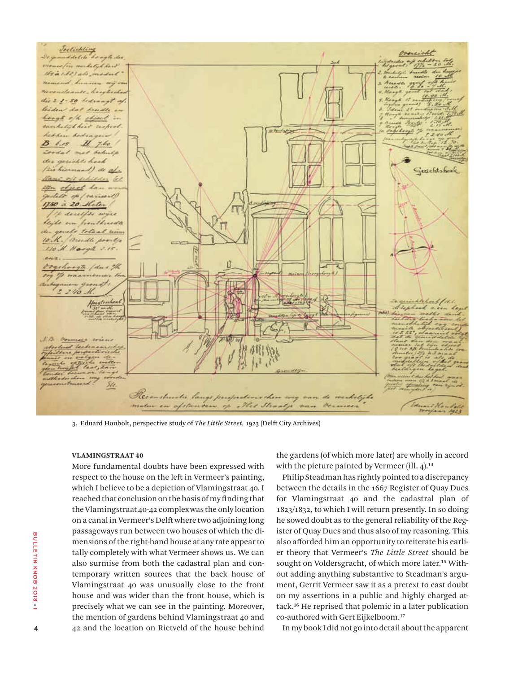

3. Eduard Houbolt, perspective study of *The Little Street,* 1923 (Delft City Archives)

#### **VLAMINGSTRAAT 40**

More fundamental doubts have been expressed with respect to the house on the left in Vermeer's painting, which I believe to be a depiction of Vlamingstraat 40. I reached that conclusion on the basis of my finding that the Vlamingstraat 40-42 complex was the only location on a canal in Vermeer's Delft where two adjoining long passageways run between two houses of which the dimensions of the right-hand house at any rate appear to tally completely with what Vermeer shows us. We can also surmise from both the cadastral plan and contemporary written sources that the back house of Vlamingstraat 40 was unusually close to the front house and was wider than the front house, which is precisely what we can see in the painting. Moreover, the mention of gardens behind Vlamingstraat 40 and 42 and the location on Rietveld of the house behind the gardens (of which more later) are wholly in accord with the picture painted by Vermeer (ill. 4).**<sup>14</sup>**

Philip Steadman has rightly pointed to a discrepancy between the details in the 1667 Register of Quay Dues for Vlamingstraat 40 and the cadastral plan of 1823/1832, to which I will return presently. In so doing he sowed doubt as to the general reliability of the Register of Quay Dues and thus also of my reasoning. This also afforded him an opportunity to reiterate his earlier theory that Vermeer's *The Little Street* should be sought on Voldersgracht, of which more later.**15** Without adding anything substantive to Steadman's argument, Gerrit Vermeer saw it as a pretext to cast doubt on my assertions in a public and highly charged attack.**<sup>16</sup>** He reprised that polemic in a later publication co-authored with Gert Eijkelboom.**<sup>17</sup>**

In my book I did not go into detail about the apparent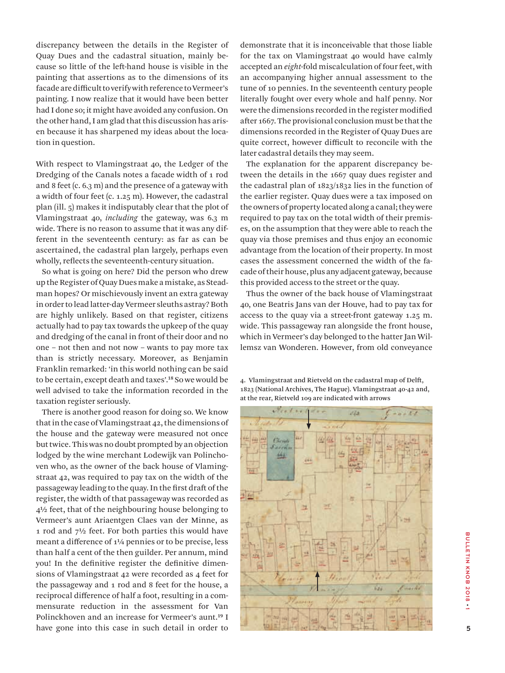discrepancy between the details in the Register of Quay Dues and the cadastral situation, mainly because so little of the left-hand house is visible in the painting that assertions as to the dimensions of its facade are difficult to verify with reference to Vermeer's painting. I now realize that it would have been better had I done so; it might have avoided any confusion. On the other hand, I am glad that this discussion has arisen because it has sharpened my ideas about the location in question.

With respect to Vlamingstraat 40, the Ledger of the Dredging of the Canals notes a facade width of 1 rod and 8 feet (c. 6.3 m) and the presence of a gateway with a width of four feet (c. 1.25 m). However, the cadastral plan (ill. 5) makes it indisputably clear that the plot of Vlamingstraat 40, *including* the gateway, was 6.3 m wide. There is no reason to assume that it was any different in the seventeenth century: as far as can be ascertained, the cadastral plan largely, perhaps even wholly, reflects the seventeenth-century situation.

So what is going on here? Did the person who drew up the Register of Quay Dues make a mistake, as Steadman hopes? Or mischievously invent an extra gateway in order to lead latter-day Vermeer sleuths astray? Both are highly unlikely. Based on that register, citizens actually had to pay tax towards the upkeep of the quay and dredging of the canal in front of their door and no one – not then and not now – wants to pay more tax than is strictly necessary. Moreover, as Benjamin Franklin remarked: 'in this world nothing can be said to be certain, except death and taxes'.**<sup>18</sup>** So we would be well advised to take the information recorded in the taxation register seriously.

There is another good reason for doing so. We know that in the case of Vlamingstraat 42, the dimensions of the house and the gateway were measured not once but twice. This was no doubt prompted by an objection lodged by the wine merchant Lodewijk van Polinchoven who, as the owner of the back house of Vlamingstraat 42, was required to pay tax on the width of the passageway leading to the quay. In the first draft of the register, the width of that passageway was recorded as 4½ feet, that of the neighbouring house belonging to Vermeer's aunt Ariaentgen Claes van der Minne, as 1 rod and 7½ feet. For both parties this would have meant a difference of 1¼ pennies or to be precise, less than half a cent of the then guilder. Per annum, mind you! In the definitive register the definitive dimensions of Vlamingstraat 42 were recorded as 4 feet for the passageway and 1 rod and 8 feet for the house, a reciprocal difference of half a foot, resulting in a commensurate reduction in the assessment for Van Polinckhoven and an increase for Vermeer's aunt.**<sup>19</sup>** I have gone into this case in such detail in order to demonstrate that it is inconceivable that those liable for the tax on Vlamingstraat 40 would have calmly accepted an *eight*-fold miscalculation of four feet, with an accompanying higher annual assessment to the tune of 10 pennies. In the seventeenth century people literally fought over every whole and half penny. Nor were the dimensions recorded in the register modified after 1667. The provisional conclusion must be that the dimensions recorded in the Register of Quay Dues are quite correct, however difficult to reconcile with the later cadastral details they may seem.

The explanation for the apparent discrepancy between the details in the 1667 quay dues register and the cadastral plan of 1823/1832 lies in the function of the earlier register. Quay dues were a tax imposed on the owners of property located along a canal; they were required to pay tax on the total width of their premises, on the assumption that they were able to reach the quay via those premises and thus enjoy an economic advantage from the location of their property. In most cases the assessment concerned the width of the facade of their house, plus any adjacent gateway, because this provided access to the street or the quay.

Thus the owner of the back house of Vlamingstraat 40, one Beatris Jans van der Houve, had to pay tax for access to the quay via a street-front gateway 1.25 m. wide. This passageway ran alongside the front house, which in Vermeer's day belonged to the hatter Jan Willemsz van Wonderen. However, from old conveyance

4. Vlamingstraat and Rietveld on the cadastral map of Delft, 1823 (National Archives, The Hague). Vlamingstraat 40-42 and, at the rear, Rietveld 109 are indicated with arrows

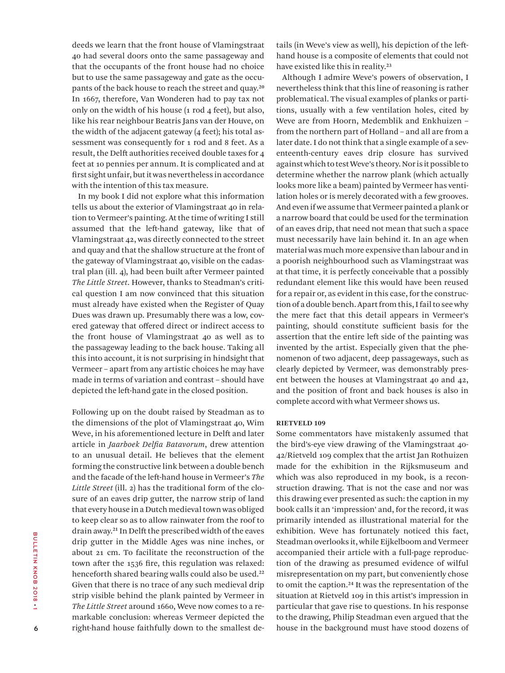deeds we learn that the front house of Vlamingstraat 40 had several doors onto the same passageway and that the occupants of the front house had no choice but to use the same passageway and gate as the occupants of the back house to reach the street and quay.**<sup>20</sup>** In 1667, therefore, Van Wonderen had to pay tax not only on the width of his house  $(1 \text{ rod } 4 \text{ feet})$ , but also, like his rear neighbour Beatris Jans van der Houve, on the width of the adjacent gateway (4 feet); his total assessment was consequently for 1 rod and 8 feet. As a result, the Delft authorities received double taxes for 4 feet at 10 pennies per annum. It is complicated and at first sight unfair, but it was nevertheless in accordance with the intention of this tax measure.

In my book I did not explore what this information tells us about the exterior of Vlamingstraat 40 in relation to Vermeer's painting. At the time of writing I still assumed that the left-hand gateway, like that of Vlamingstraat 42, was directly connected to the street and quay and that the shallow structure at the front of the gateway of Vlamingstraat 40, visible on the cadastral plan (ill. 4), had been built after Vermeer painted *The Little Street*. However, thanks to Steadman's critical question I am now convinced that this situation must already have existed when the Register of Quay Dues was drawn up. Presumably there was a low, covered gateway that offered direct or indirect access to the front house of Vlamingstraat 40 as well as to the passageway leading to the back house. Taking all this into account, it is not surprising in hindsight that Vermeer – apart from any artistic choices he may have made in terms of variation and contrast – should have depicted the left-hand gate in the closed position.

Following up on the doubt raised by Steadman as to the dimensions of the plot of Vlamingstraat 40, Wim Weve, in his aforementioned lecture in Delft and later article in *Jaarboek Delfia Batavorum*, drew attention to an unusual detail. He believes that the element forming the constructive link between a double bench and the facade of the left-hand house in Vermeer's *The Little Street* (ill. 2) has the traditional form of the closure of an eaves drip gutter, the narrow strip of land that every house in a Dutch medieval town was obliged to keep clear so as to allow rainwater from the roof to drain away.**<sup>21</sup>** In Delft the prescribed width of the eaves drip gutter in the Middle Ages was nine inches, or about 21 cm. To facilitate the reconstruction of the town after the 1536 fire, this regulation was relaxed: henceforth shared bearing walls could also be used.**<sup>22</sup>** Given that there is no trace of any such medieval drip strip visible behind the plank painted by Vermeer in *The Little Street* around 1660, Weve now comes to a remarkable conclusion: whereas Vermeer depicted the right-hand house faithfully down to the smallest details (in Weve's view as well), his depiction of the lefthand house is a composite of elements that could not have existed like this in reality.**<sup>23</sup>**

Although I admire Weve's powers of observation, I nevertheless think that this line of reasoning is rather problematical. The visual examples of planks or partitions, usually with a few ventilation holes, cited by Weve are from Hoorn, Medemblik and Enkhuizen – from the northern part of Holland – and all are from a later date. I do not think that a single example of a seventeenth-century eaves drip closure has survived against which to test Weve's theory. Nor is it possible to determine whether the narrow plank (which actually looks more like a beam) painted by Vermeer has ventilation holes or is merely decorated with a few grooves. And even if we assume that Vermeer painted a plank or a narrow board that could be used for the termination of an eaves drip, that need not mean that such a space must necessarily have lain behind it. In an age when material was much more expensive than labour and in a poorish neighbourhood such as Vlamingstraat was at that time, it is perfectly conceivable that a possibly redundant element like this would have been reused for a repair or, as evident in this case, for the construction of a double bench. Apart from this, I fail to see why the mere fact that this detail appears in Vermeer's painting, should constitute sufficient basis for the assertion that the entire left side of the painting was invented by the artist. Especially given that the phenomenon of two adjacent, deep passageways, such as clearly depicted by Vermeer, was demonstrably present between the houses at Vlamingstraat 40 and 42, and the position of front and back houses is also in complete accord with what Vermeer shows us.

## **RIETVELD 109**

Some commentators have mistakenly assumed that the bird's-eye view drawing of the Vlamingstraat 40- 42/Rietveld 109 complex that the artist Jan Rothuizen made for the exhibition in the Rijksmuseum and which was also reproduced in my book, is a reconstruction drawing. That is not the case and nor was this drawing ever presented as such: the caption in my book calls it an 'impression' and, for the record, it was primarily intended as illustrational material for the exhibition. Weve has fortunately noticed this fact, Steadman overlooks it, while Eijkelboom and Vermeer accompanied their article with a full-page reproduction of the drawing as presumed evidence of wilful misrepresentation on my part, but conveniently chose to omit the caption.**<sup>24</sup>** It was the representation of the situation at Rietveld 109 in this artist's impression in particular that gave rise to questions. In his response to the drawing, Philip Steadman even argued that the house in the background must have stood dozens of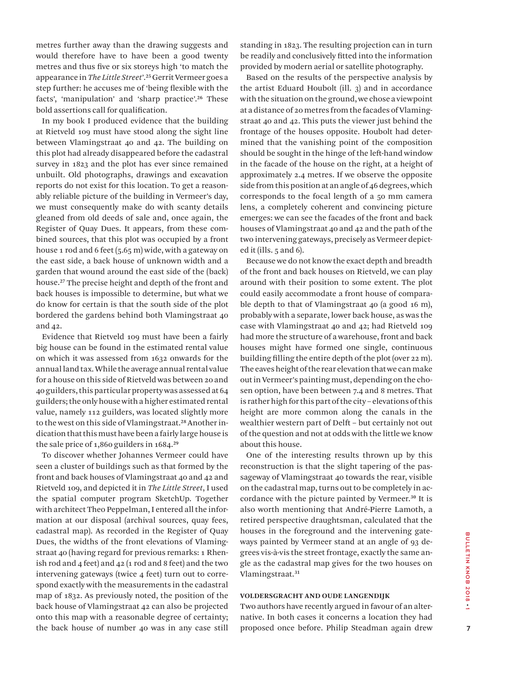metres further away than the drawing suggests and would therefore have to have been a good twenty metres and thus five or six storeys high 'to match the appearance in *The Little Street*'.**<sup>25</sup>** Gerrit Vermeer goes a step further: he accuses me of 'being flexible with the facts', 'manipulation' and 'sharp practice'.**<sup>26</sup>** These bold assertions call for qualification.

In my book I produced evidence that the building at Rietveld 109 must have stood along the sight line between Vlamingstraat 40 and 42. The building on this plot had already disappeared before the cadastral survey in 1823 and the plot has ever since remained unbuilt. Old photographs, drawings and excavation reports do not exist for this location. To get a reasonably reliable picture of the building in Vermeer's day, we must consequently make do with scanty details gleaned from old deeds of sale and, once again, the Register of Quay Dues. It appears, from these combined sources, that this plot was occupied by a front house 1 rod and 6 feet (5.65 m) wide, with a gateway on the east side, a back house of unknown width and a garden that wound around the east side of the (back) house.**<sup>27</sup>** The precise height and depth of the front and back houses is impossible to determine, but what we do know for certain is that the south side of the plot bordered the gardens behind both Vlamingstraat 40 and 42.

Evidence that Rietveld 109 must have been a fairly big house can be found in the estimated rental value on which it was assessed from 1632 onwards for the annual land tax. While the average annual rental value for a house on this side of Rietveld was between 20 and 40 guilders, this particular property was assessed at 64 guilders; the only house with a higher estimated rental value, namely 112 guilders, was located slightly more to the west on this side of Vlamingstraat.**28** Another indication that this must have been a fairly large house is the sale price of 1,860 guilders in 1684.**<sup>29</sup>**

To discover whether Johannes Vermeer could have seen a cluster of buildings such as that formed by the front and back houses of Vlamingstraat 40 and 42 and Rietveld 109, and depicted it in *The Little Street*, I used the spatial computer program SketchUp. Together with architect Theo Peppelman, I entered all the information at our disposal (archival sources, quay fees, cadastral map). As recorded in the Register of Quay Dues, the widths of the front elevations of Vlamingstraat 40 (having regard for previous remarks: 1 Rhenish rod and 4 feet) and 42 (1 rod and 8 feet) and the two intervening gateways (twice 4 feet) turn out to correspond exactly with the measurements in the cadastral map of 1832. As previously noted, the position of the back house of Vlamingstraat 42 can also be projected onto this map with a reasonable degree of certainty; the back house of number 40 was in any case still standing in 1823. The resulting projection can in turn be readily and conclusively fitted into the information provided by modern aerial or satellite photography.

Based on the results of the perspective analysis by the artist Eduard Houbolt (ill. 3) and in accordance with the situation on the ground, we chose a viewpoint at a distance of 20 metres from the facades of Vlamingstraat 40 and 42. This puts the viewer just behind the frontage of the houses opposite. Houbolt had determined that the vanishing point of the composition should be sought in the hinge of the left-hand window in the facade of the house on the right, at a height of approximately 2.4 metres. If we observe the opposite side from this position at an angle of 46 degrees, which corresponds to the focal length of a 50 mm camera lens, a completely coherent and convincing picture emerges: we can see the facades of the front and back houses of Vlamingstraat 40 and 42 and the path of the two intervening gateways, precisely as Vermeer depicted it (ills. 5 and 6).

Because we do not know the exact depth and breadth of the front and back houses on Rietveld, we can play around with their position to some extent. The plot could easily accommodate a front house of comparable depth to that of Vlamingstraat 40 (a good 16 m), probably with a separate, lower back house, as was the case with Vlamingstraat 40 and 42; had Rietveld 109 had more the structure of a warehouse, front and back houses might have formed one single, continuous building filling the entire depth of the plot (over 22 m). The eaves height of the rear elevation that we can make out in Vermeer's painting must, depending on the chosen option, have been between 7.4 and 8 metres. That is rather high for this part of the city – elevations of this height are more common along the canals in the wealthier western part of Delft – but certainly not out of the question and not at odds with the little we know about this house.

One of the interesting results thrown up by this reconstruction is that the slight tapering of the passageway of Vlamingstraat 40 towards the rear, visible on the cadastral map, turns out to be completely in accordance with the picture painted by Vermeer.**<sup>30</sup>** It is also worth mentioning that André-Pierre Lamoth, a retired perspective draughtsman, calculated that the houses in the foreground and the intervening gateways painted by Vermeer stand at an angle of 93 degrees vis-à-vis the street frontage, exactly the same angle as the cadastral map gives for the two houses on Vlamingstraat.**<sup>31</sup>**

#### **VOLDERSGRACHT AND OUDE LANGENDIJK**

Two authors have recently argued in favour of an alternative. In both cases it concerns a location they had proposed once before. Philip Steadman again drew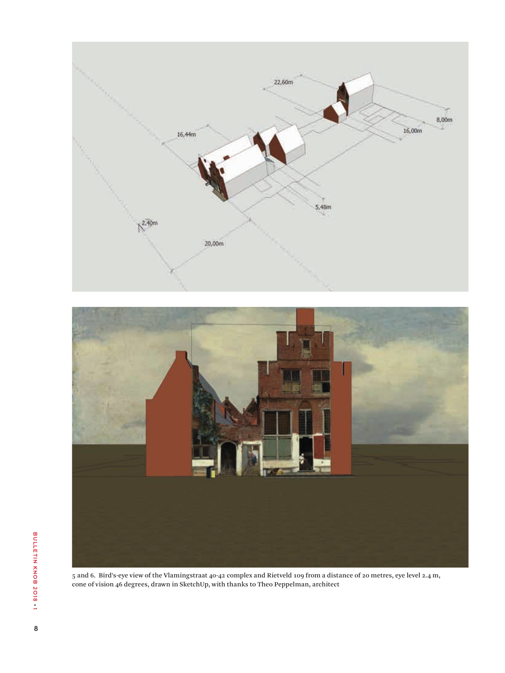



5 and 6. Bird's-eye view of the Vlamingstraat 40-42 complex and Rietveld 109 from a distance of 20 metres, eye level 2.4 m, cone of vision 46 degrees, drawn in SketchUp, with thanks to Theo Peppelman, architect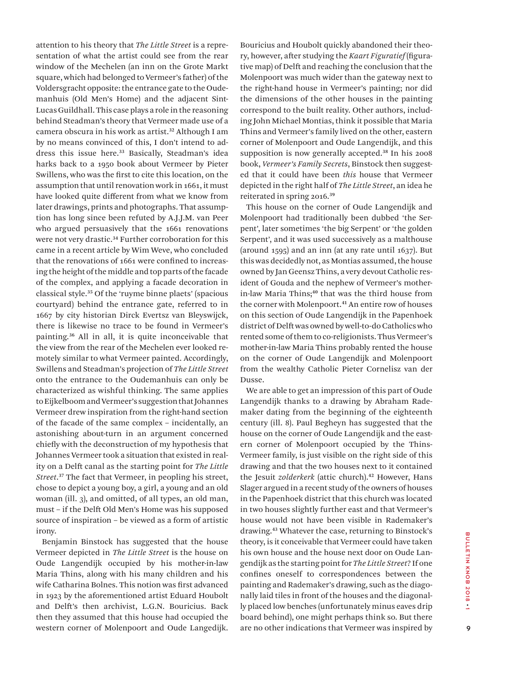attention to his theory that *The Little Street* is a representation of what the artist could see from the rear window of the Mechelen (an inn on the Grote Markt square, which had belonged to Vermeer's father) of the Voldersgracht opposite: the entrance gate to the Oudemanhuis (Old Men's Home) and the adjacent Sint-Lucas Guildhall. This case plays a role in the reasoning behind Steadman's theory that Vermeer made use of a camera obscura in his work as artist.**<sup>32</sup>** Although I am by no means convinced of this, I don't intend to address this issue here.**<sup>33</sup>** Basically, Steadman's idea harks back to a 1950 book about Vermeer by Pieter Swillens, who was the first to cite this location, on the assumption that until renovation work in 1661, it must have looked quite different from what we know from later drawings, prints and photographs. That assumption has long since been refuted by A.J.J.M. van Peer who argued persuasively that the 1661 renovations were not very drastic.**<sup>34</sup>** Further corroboration for this came in a recent article by Wim Weve, who concluded that the renovations of 1661 were confined to increasing the height of the middle and top parts of the facade of the complex, and applying a facade decoration in classical style.**<sup>35</sup>** Of the 'ruyme binne plaets' (spacious courtyard) behind the entrance gate, referred to in 1667 by city historian Dirck Evertsz van Bleyswijck, there is likewise no trace to be found in Vermeer's painting.**<sup>36</sup>** All in all, it is quite inconceivable that the view from the rear of the Mechelen ever looked remotely similar to what Vermeer painted. Accordingly, Swillens and Steadman's projection of *The Little Street* onto the entrance to the Oudemanhuis can only be characterized as wishful thinking. The same applies to Eijkelboom and Vermeer's suggestion that Johannes Vermeer drew inspiration from the right-hand section of the facade of the same complex – incidentally, an astonishing about-turn in an argument concerned chiefly with the deconstruction of my hypothesis that Johannes Vermeer took a situation that existed in reality on a Delft canal as the starting point for *The Little Street*. **<sup>37</sup>** The fact that Vermeer, in peopling his street, chose to depict a young boy, a girl, a young and an old woman (ill. 3), and omitted, of all types, an old man, must – if the Delft Old Men's Home was his supposed source of inspiration – be viewed as a form of artistic irony.

Benjamin Binstock has suggested that the house Vermeer depicted in *The Little Street* is the house on Oude Langendijk occupied by his mother-in-law Maria Thins, along with his many children and his wife Catharina Bolnes. This notion was first advanced in 1923 by the aforementioned artist Eduard Houbolt and Delft's then archivist, L.G.N. Bouricius. Back then they assumed that this house had occupied the western corner of Molenpoort and Oude Langedijk. Bouricius and Houbolt quickly abandoned their theory, however, after studying the *Kaart Figuratief* (figurative map) of Delft and reaching the conclusion that the Molenpoort was much wider than the gateway next to the right-hand house in Vermeer's painting; nor did the dimensions of the other houses in the painting correspond to the built reality. Other authors, including John Michael Montias, think it possible that Maria Thins and Vermeer's family lived on the other, eastern corner of Molenpoort and Oude Langendijk, and this supposition is now generally accepted.**<sup>38</sup>** In his 2008 book, *Vermeer's Family Secrets*, Binstock then suggested that it could have been *this* house that Vermeer depicted in the right half of *The Little Street*, an idea he reiterated in spring 2016.**<sup>39</sup>**

This house on the corner of Oude Langendijk and Molenpoort had traditionally been dubbed 'the Serpent', later sometimes 'the big Serpent' or 'the golden Serpent', and it was used successively as a malthouse (around 1595) and an inn (at any rate until 1637). But this was decidedly not, as Montias assumed, the house owned by Jan Geensz Thins, a very devout Catholic resident of Gouda and the nephew of Vermeer's motherin-law Maria Thins;**<sup>40</sup>** that was the third house from the corner with Molenpoort.**<sup>41</sup>** An entire row of houses on this section of Oude Langendijk in the Papenhoek district of Delft was owned by well-to-do Catholics who rented some of them to co-religionists. Thus Vermeer's mother-in-law Maria Thins probably rented the house on the corner of Oude Langendijk and Molenpoort from the wealthy Catholic Pieter Cornelisz van der Dusse.

We are able to get an impression of this part of Oude Langendijk thanks to a drawing by Abraham Rademaker dating from the beginning of the eighteenth century (ill. 8). Paul Begheyn has suggested that the house on the corner of Oude Langendijk and the eastern corner of Molenpoort occupied by the Thins-Vermeer family, is just visible on the right side of this drawing and that the two houses next to it contained the Jesuit *zolderkerk* (attic church).**<sup>42</sup>** However, Hans Slager argued in a recent study of the owners of houses in the Papenhoek district that this church was located in two houses slightly further east and that Vermeer's house would not have been visible in Rademaker's drawing.**<sup>43</sup>** Whatever the case, returning to Binstock's theory, is it conceivable that Vermeer could have taken his own house and the house next door on Oude Langendijk as the starting point for *The Little Street*? If one confines oneself to correspondences between the painting and Rademaker's drawing, such as the diagonally laid tiles in front of the houses and the diagonally placed low benches (unfortunately minus eaves drip board behind), one might perhaps think so. But there are no other indications that Vermeer was inspired by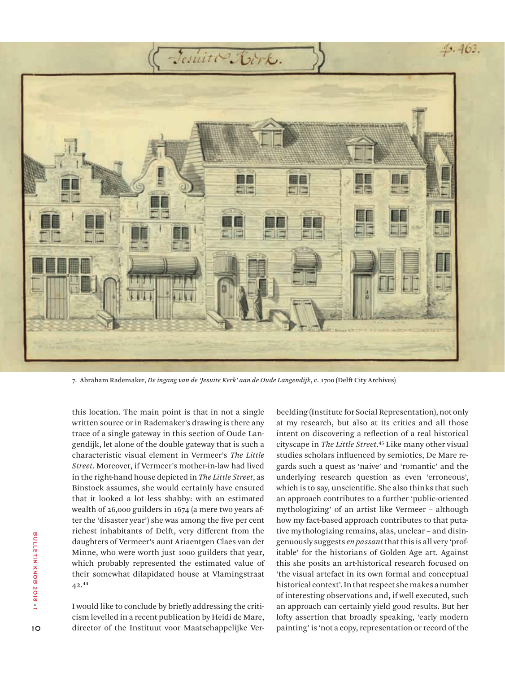

7. Abraham Rademaker, *De ingang van de 'Jesuite Kerk' aan de Oude Langendijk*, c. 1700 (Delft City Archives)

this location. The main point is that in not a single written source or in Rademaker's drawing is there any trace of a single gateway in this section of Oude Langendijk, let alone of the double gateway that is such a characteristic visual element in Vermeer's *The Little Street*. Moreover, if Vermeer's mother-in-law had lived in the right-hand house depicted in *The Little Street*, as Binstock assumes, she would certainly have ensured that it looked a lot less shabby: with an estimated wealth of 26,000 guilders in 1674 (a mere two years after the 'disaster year') she was among the five per cent richest inhabitants of Delft, very different from the daughters of Vermeer's aunt Ariaentgen Claes van der Minne, who were worth just 1000 guilders that year, which probably represented the estimated value of their somewhat dilapidated house at Vlamingstraat 42.**<sup>44</sup>**

I would like to conclude by briefly addressing the criticism levelled in a recent publication by Heidi de Mare, director of the Instituut voor Maatschappelijke Verbeelding (Institute for Social Representation), not only at my research, but also at its critics and all those intent on discovering a reflection of a real historical cityscape in *The Little Street*. **<sup>45</sup>** Like many other visual studies scholars influenced by semiotics, De Mare regards such a quest as 'naive' and 'romantic' and the underlying research question as even 'erroneous', which is to say, unscientific. She also thinks that such an approach contributes to a further 'public-oriented mythologizing' of an artist like Vermeer – although how my fact-based approach contributes to that putative mythologizing remains, alas, unclear – and disingenuously suggests *en passant* that this is all very 'profitable' for the historians of Golden Age art. Against this she posits an art-historical research focused on 'the visual artefact in its own formal and conceptual historical context'. In that respect she makes a number of interesting observations and, if well executed, such an approach can certainly yield good results. But her lofty assertion that broadly speaking, 'early modern painting' is 'not a copy, representation or record of the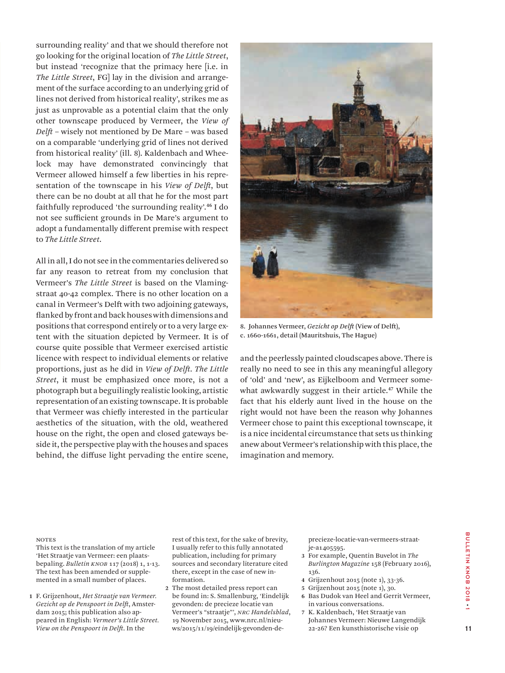surrounding reality' and that we should therefore not go looking for the original location of *The Little Street*, but instead 'recognize that the primacy here [i.e. in *The Little Street*, FG] lay in the division and arrangement of the surface according to an underlying grid of lines not derived from historical reality', strikes me as just as unprovable as a potential claim that the only other townscape produced by Vermeer, the *View of Delft* – wisely not mentioned by De Mare – was based on a comparable 'underlying grid of lines not derived from historical reality' (ill. 8). Kaldenbach and Wheelock may have demonstrated convincingly that Vermeer allowed himself a few liberties in his representation of the townscape in his *View of Delft*, but there can be no doubt at all that he for the most part faithfully reproduced 'the surrounding reality'.**<sup>46</sup>** I do not see sufficient grounds in De Mare's argument to adopt a fundamentally different premise with respect to *The Little Street*.

All in all, I do not see in the commentaries delivered so far any reason to retreat from my conclusion that Vermeer's *The Little Street* is based on the Vlamingstraat 40-42 complex. There is no other location on a canal in Vermeer's Delft with two adjoining gateways, flanked by front and back houses with dimensions and positions that correspond entirely or to a very large extent with the situation depicted by Vermeer. It is of course quite possible that Vermeer exercised artistic licence with respect to individual elements or relative proportions, just as he did in *View of Delft*. *The Little Street*, it must be emphasized once more, is not a photograph but a beguilingly realistic looking, artistic representation of an existing townscape. It is probable that Vermeer was chiefly interested in the particular aesthetics of the situation, with the old, weathered house on the right, the open and closed gateways beside it, the perspective play with the houses and spaces behind, the diffuse light pervading the entire scene,



8. Johannes Vermeer, *Gezicht op Delft* (View of Delft), c. 1660-1661, detail (Mauritshuis, The Hague)

and the peerlessly painted cloudscapes above. There is really no need to see in this any meaningful allegory of 'old' and 'new', as Eijkelboom and Vermeer somewhat awkwardly suggest in their article.**<sup>47</sup>** While the fact that his elderly aunt lived in the house on the right would not have been the reason why Johannes Vermeer chose to paint this exceptional townscape, it is a nice incidental circumstance that sets us thinking anew about Vermeer's relationship with this place, the imagination and memory.

#### **NOTES**

 This text is the translation of my article 'Het Straatje van Vermeer: een plaatsbepaling. *Bulletin KNOB* 117 (2018) 1, 1-13. The text has been amended or supplemented in a small number of places.

**1** F. Grijzenhout, *Het Straatje van Vermeer. Gezicht op de Penspoort in Delft*, Amsterdam 2015; this publication also appeared in English: *Vermeer's Little Street. View on the Penspoort in Delft*. In the

rest of this text, for the sake of brevity, I usually refer to this fully annotated publication, including for primary sources and secondary literature cited there, except in the case of new information.

**2** The most detailed press report can be found in: S. Smallenburg, 'Eindelijk gevonden: de precieze locatie van Vermeer's "straatje"', *NRC Handelsblad*, 19 November 2015, www.nrc.nl/nieuws/2015/11/19/eindelijk-gevonden-deprecieze-locatie-van-vermeers-straatje-a1405595.

- **3** For example, Quentin Buvelot in *The Burlington Magazine* 158 (February 2016), 136.
- **4** Grijzenhout 2015 (note 1), 33-36.
- **5** Grijzenhout 2015 (note 1), 30.
- **6** Bas Dudok van Heel and Gerrit Vermeer, in various conversations.
- **7** K. Kaldenbach, 'Het Straatje van Johannes Vermeer: Nieuwe Langendijk 22-26? Een kunsthistorische visie op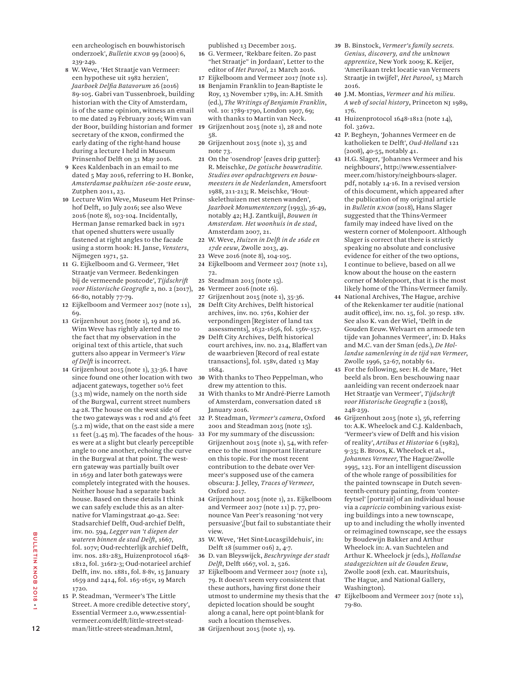een archeologisch en bouwhistorisch onderzoek', *Bulletin KNOB* 99 (2000) 6, 239-249.

- der Boor, building historian and former 19 Grijzenhout 2015 (note 1), 28 and note **8** W. Weve, 'Het Straatje van Vermeer: een hypothese uit 1982 herzien', *Jaarboek Delfia Batavorum* 26 (2016) 89-105. Gabri van Tussenbroek, building historian with the City of Amsterdam, is of the same opinion, witness an email to me dated 29 February 2016; Wim van secretary of the KNOB, confirmed the early dating of the right-hand house during a lecture I held in Museum Prinsenhof Delft on 31 May 2016.
- **9** Kees Kaldenbach in an email to me dated 5 May 2016, referring to H. Bonke, *Amsterdamse pakhuizen 16e-20ste eeuw*, Zutphen 2011, 23.
- **10** Lecture Wim Weve, Museum Het Prinsehof Delft, 10 July 2016; see also Weve 2016 (note 8), 103-104. Incidentally, Herman Janse remarked back in 1971 that opened shutters were usually fastened at right angles to the facade using a storm hook: H. Janse, *Vensters*, Nijmegen 1971, 52.
- **11** G. Eijkelboom and G. Vermeer, 'Het Straatje van Vermeer. Bedenkingen bij de vermeende postcode', *Tijdschrift voor Historische Geografie* 2, no. 2 (2017), 66-80, notably 77-79.
- **12** Eijkelboom and Vermeer 2017 (note 11), 69.
- **13** Grijzenhout 2015 (note 1), 19 and 26. Wim Weve has rightly alerted me to the fact that my observation in the original text of this article, that such gutters also appear in Vermeer's *View of Delft* is incorrect.
- **14** Grijzenhout 2015 (note 1), 33-36. I have since found one other location with two 30 adjacent gateways, together 10½ feet (3.3 m) wide, namely on the north side of the Burgwal, current street numbers 24-28. The house on the west side of the two gateways was 1 rod and 4½ feet (5.2 m) wide, that on the east side a mere 11 feet (3.45 m). The facades of the houses were at a slight but clearly perceptible angle to one another, echoing the curve in the Burgwal at that point. The western gateway was partially built over in 1659 and later both gateways were completely integrated with the houses. Neither house had a separate back house. Based on these details I think we can safely exclude this as an alternative for Vlamingstraat 40-42. See: Stadsarchief Delft, Oud-archief Delft, inv. no. 594, *Legger van 't diepen der wateren binnen de stad Delft*, 1667, fol. 107v; Oud-rechterlijk archief Delft, inv. nos. 281-283, Huizenprotocol 1648- 1812, fol. 316r2-3; Oud-notarieel archief Delft, inv. no. 1881, fol. 8-8v, 15 January 1659 and 2414, fol. 165-165v, 19 March 1720.
- **15** P. Steadman, 'Vermeer's The Little Street. A more credible detective story', Essential Vermeer 2.0, www.essentialvermeer.com/delft/little-street-steadman/little-street-steadman.html,

published 13 December 2015.

- **16** G. Vermeer, 'Rekbare feiten. Zo past "het Straatje" in Jordaan', Letter to the editor of *Het Parool*, 21 March 2016.
- **17** Eijkelboom and Vermeer 2017 (note 11).
- **18** Benjamin Franklin to Jean-Baptiste le Roy, 13 November 1789, in: A.H. Smith (ed.), *The Writings of Benjamin Franklin*, vol. 10: 1789-1790, London 1907, 69; with thanks to Martin van Neck.
- 58.
- **20** Grijzenhout 2015 (note 1), 35 and note 73.
- **21** On the 'osendrop' [eaves drip gutter]: R. Meischke, *De gotische bouwtraditie. Studies over opdrachtgevers en bouwmeesters in de Nederlanden*, Amersfoort 1988, 211-213; R. Meischke, 'Houtskelethuizen met stenen wanden', *Jaarboek Monumentenzorg* (1993), 36-49, notably 42; H.J. Zantkuijl, *Bouwen in Amsterdam. Het woonhuis in de stad*, Amsterdam 2007, 21.
- **22** W. Weve, *Huizen in Delft in de 16de en 17de eeuw*, Zwolle 2013, 49.
- **23** Weve 2016 (note 8), 104-105.
- **24** Eijkelboom and Vermeer 2017 (note 11), 72.
- **25** Steadman 2015 (note 15).
- **26** Vermeer 2016 (note 16).
- **27** Grijzenhout 2015 (note 1), 35-36.
- **28** Delft City Archives, Delft historical archives, inv. no. 1761, Kohier der verpondingen [Register of land tax assessments], 1632-1656, fol. 156v-157.
- **29** Delft City Archives, Delft historical court archives, inv. no. 214, Blaffert van de waarbrieven [Record of real estate transactions], fol. 158v, dated 13 May 1684.
- **30** With thanks to Theo Peppelman, who drew my attention to this.
- **31** With thanks to Mr André-Pierre Lamoth of Amsterdam, conversation dated 18 January 2016.
- **32** P. Steadman, *Vermeer's camera*, Oxford 2001 and Steadman 2015 (note 15).
- **33** For my summary of the discussion: Grijzenhout 2015 (note 1), 54, with reference to the most important literature on this topic. For the most recent contribution to the debate over Vermeer's supposed use of the camera obscura: J. Jelley, *Traces of Vermeer*, Oxford 2017.
- **34** Grijzenhout 2015 (note 1), 21. Eijkelboom and Vermeer 2017 (note 11) p. 77, pronounce Van Peer's reasoning 'not very persuasive',[but fail to substantiate their view.
- **35** W. Weve, 'Het Sint-Lucasgildehuis', in: Delft 18 (summer 016) 2, 4-7.
- **36** D. van Bleyswijck, *Beschryvinge der stadt Delft*, Delft 1667, vol. 2, 526.
- **37** Eijkelboom and Vermeer 2017 (note 11), 79. It doesn't seem very consistent that these authors, having first done their utmost to undermine my thesis that the depicted location should be sought along a canal, here opt point-blank for such a location themselves.
- **38** Grijzenhout 2015 (note 1), 19.
- **39** B. Binstock, *Vermeer's family secrets. Genius, discovery, and the unknown apprentice*, New York 2009; K. Keijer, 'Amerikaan trekt locatie van Vermeers Straatje in twijfel', *Het Parool*, 13 March 2016.
- **40** J.M. Montias, *Vermeer and his milieu. A web of social history*, Princeton NJ 1989, 176.
- **41** Huizenprotocol 1648-1812 (note 14), fol. 326v2.
- **42** P. Begheyn, 'Johannes Vermeer en de katholieken te Delft', *Oud-Holland* 121 (2008), 40-55, notably 41.
- **43** H.G. Slager, 'Johannes Vermeer and his neighbours', http://www.essentialvermeer.com/history/neighbours-slager. pdf, notably 14-16. In a revised version of this document, which appeared after the publication of my original article in *Bulletin KNOB* (2018), Hans Slager suggested that the Thins-Vermeer family may indeed have lived on the western corner of Molenpoort. Although Slager is correct that there is strictly speaking no absolute and conclusive evidence for either of the two options, I continue to believe, based on all we know about the house on the eastern corner of Molenpoort, that it is the most likely home of the Thins-Vermeer family.
- **44** National Archives, The Hague, archive of the Rekenkamer ter auditie (national audit office), inv. no. 15, fol. 30 resp. 18v. See also K. van der Wiel, 'Delft in de Gouden Eeuw. Welvaart en armoede ten tijde van Johannes Vermeer', in: D. Haks and M.C. van der Sman (eds.), *De Hollandse samenleving in de tijd van Vermeer*, Zwolle 1996, 52-67, notably 61.
- **45** For the following, see: H. de Mare, 'Het beeld als bron. Een beschouwing naar aanleiding van recent onderzoek naar Het Straatje van Vermeer', *Tijdschrift voor Historische Geografie* 2 (2018), 248-259.
- **46** Grijzenhout 2015 (note 1), 56, referring to: A.K. Wheelock and C.J. Kaldenbach, 'Vermeer's view of Delft and his vision of reality', *Artibus et Historiae* 6 (1982), 9-35; B. Broos, K. Wheelock et al., *Johannes Vermeer*, The Hague/Zwolle 1995, 123. For an intelligent discussion of the whole range of possibilities for the painted townscape in Dutch seventeenth-century painting, from 'conterfeytsel' [portrait] of an individual house via a *capriccio* combining various existing buildings into a new townscape, up to and including the wholly invented or reimagined townscape, see the essays by Boudewijn Bakker and Arthur Wheelock in: A. van Suchtelen and Arthur K. Wheelock jr (eds.), *Hollandse stadsgezichten uit de Gouden Eeuw*, Zwolle 2008 (exh. cat. Mauritshuis, The Hague, and National Gallery, Washington).
- **47** Eijkelboom and Vermeer 2017 (note 11), 79-80.

12

<u>፡</u>

BULLETIN KNOB 2018